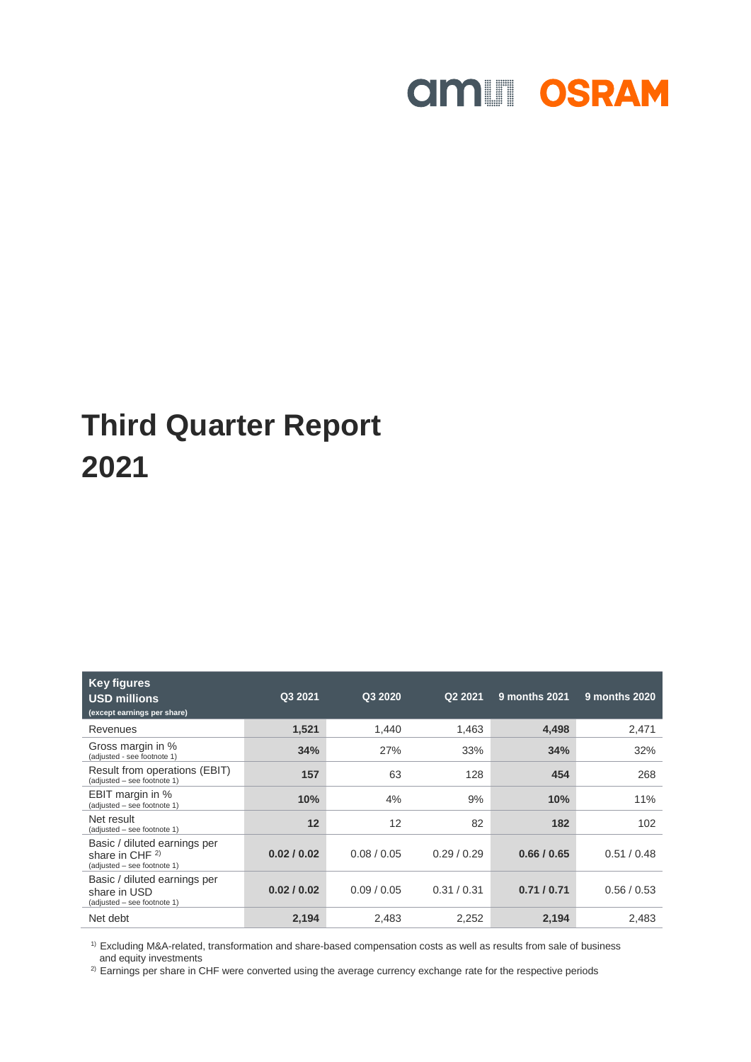# **amill OSRAM**

## **Third Quarter Report 2021**

| <b>Key figures</b><br><b>USD millions</b><br>(except earnings per share)            | Q3 2021     | Q3 2020     | Q2 2021     | 9 months 2021 | 9 months 2020 |
|-------------------------------------------------------------------------------------|-------------|-------------|-------------|---------------|---------------|
| Revenues                                                                            | 1,521       | 1,440       | 1,463       | 4,498         | 2,471         |
| Gross margin in %<br>(adjusted - see footnote 1)                                    | 34%         | 27%         | 33%         | 34%           | 32%           |
| Result from operations (EBIT)<br>(adjusted - see footnote 1)                        | 157         | 63          | 128         | 454           | 268           |
| EBIT margin in %<br>(adjusted - see footnote 1)                                     | 10%         | 4%          | 9%          | 10%           | 11%           |
| Net result<br>(adjusted - see footnote 1)                                           | 12          | 12          | 82          | 182           | 102           |
| Basic / diluted earnings per<br>share in CHF $^{2)}$<br>(adjusted - see footnote 1) | 0.02 / 0.02 | 0.08 / 0.05 | 0.29/0.29   | 0.66 / 0.65   | 0.51 / 0.48   |
| Basic / diluted earnings per<br>share in USD<br>(adjusted - see footnote 1)         | 0.02 / 0.02 | 0.09/0.05   | 0.31 / 0.31 | 0.71/0.71     | 0.56/0.53     |
| Net debt                                                                            | 2,194       | 2,483       | 2,252       | 2,194         | 2,483         |

<sup>1)</sup> Excluding M&A-related, transformation and share-based compensation costs as well as results from sale of business and equity investments

<sup>2)</sup> Earnings per share in CHF were converted using the average currency exchange rate for the respective periods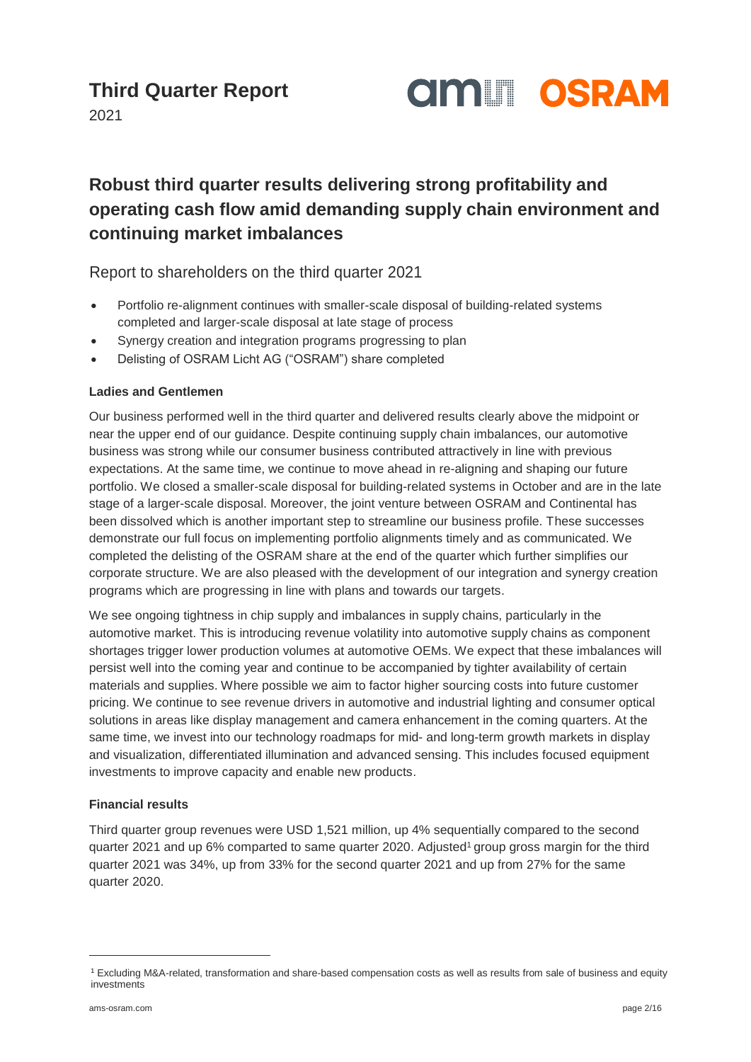

2021

#### **Robust third quarter results delivering strong profitability and operating cash flow amid demanding supply chain environment and continuing market imbalances**

Report to shareholders on the third quarter 2021

- Portfolio re-alignment continues with smaller-scale disposal of building-related systems completed and larger-scale disposal at late stage of process
- Synergy creation and integration programs progressing to plan
- Delisting of OSRAM Licht AG ("OSRAM") share completed

#### **Ladies and Gentlemen**

Our business performed well in the third quarter and delivered results clearly above the midpoint or near the upper end of our guidance. Despite continuing supply chain imbalances, our automotive business was strong while our consumer business contributed attractively in line with previous expectations. At the same time, we continue to move ahead in re-aligning and shaping our future portfolio. We closed a smaller-scale disposal for building-related systems in October and are in the late stage of a larger-scale disposal. Moreover, the joint venture between OSRAM and Continental has been dissolved which is another important step to streamline our business profile. These successes demonstrate our full focus on implementing portfolio alignments timely and as communicated. We completed the delisting of the OSRAM share at the end of the quarter which further simplifies our corporate structure. We are also pleased with the development of our integration and synergy creation programs which are progressing in line with plans and towards our targets.

We see ongoing tightness in chip supply and imbalances in supply chains, particularly in the automotive market. This is introducing revenue volatility into automotive supply chains as component shortages trigger lower production volumes at automotive OEMs. We expect that these imbalances will persist well into the coming year and continue to be accompanied by tighter availability of certain materials and supplies. Where possible we aim to factor higher sourcing costs into future customer pricing. We continue to see revenue drivers in automotive and industrial lighting and consumer optical solutions in areas like display management and camera enhancement in the coming quarters. At the same time, we invest into our technology roadmaps for mid- and long-term growth markets in display and visualization, differentiated illumination and advanced sensing. This includes focused equipment investments to improve capacity and enable new products.

#### **Financial results**

Third quarter group revenues were USD 1,521 million, up 4% sequentially compared to the second quarter 2021 and up 6% comparted to same quarter 2020. Adjusted<sup>1</sup> group gross margin for the third quarter 2021 was 34%, up from 33% for the second quarter 2021 and up from 27% for the same quarter 2020.

 $\overline{a}$ 

<sup>1</sup> Excluding M&A-related, transformation and share-based compensation costs as well as results from sale of business and equity investments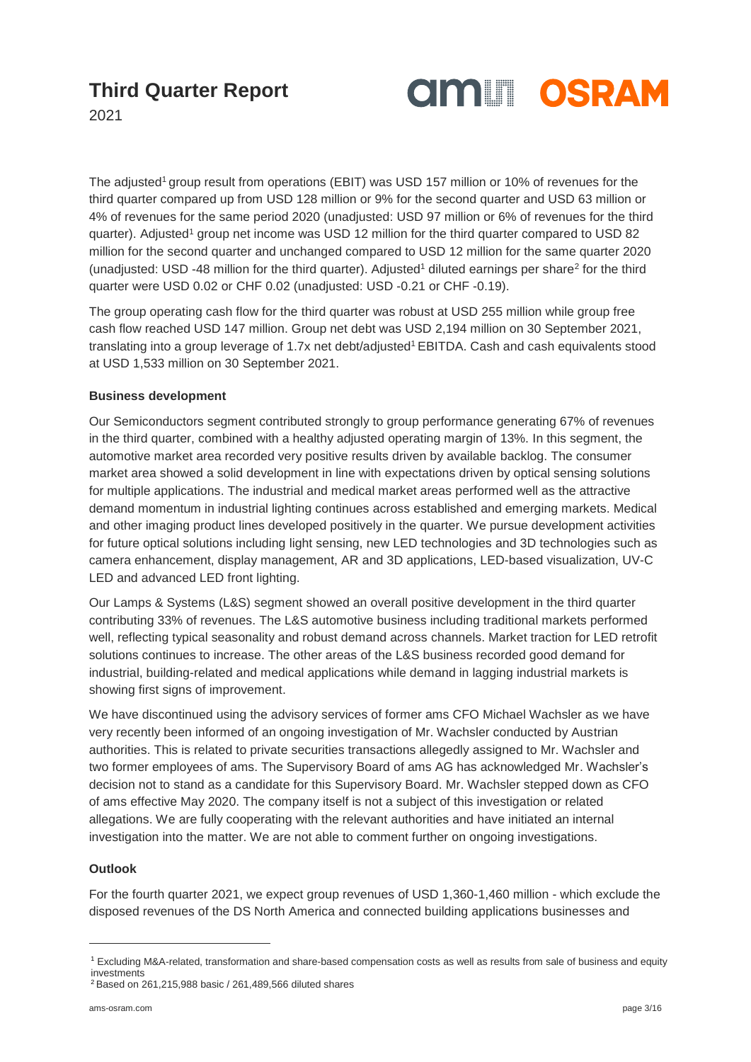

2021

The adjusted<sup>1</sup> group result from operations (EBIT) was USD 157 million or 10% of revenues for the third quarter compared up from USD 128 million or 9% for the second quarter and USD 63 million or 4% of revenues for the same period 2020 (unadjusted: USD 97 million or 6% of revenues for the third quarter). Adjusted<sup>1</sup> group net income was USD 12 million for the third quarter compared to USD 82 million for the second quarter and unchanged compared to USD 12 million for the same quarter 2020 (unadjusted: USD -48 million for the third quarter). Adjusted<sup>1</sup> diluted earnings per share<sup>2</sup> for the third quarter were USD 0.02 or CHF 0.02 (unadjusted: USD -0.21 or CHF -0.19).

The group operating cash flow for the third quarter was robust at USD 255 million while group free cash flow reached USD 147 million. Group net debt was USD 2,194 million on 30 September 2021, translating into a group leverage of 1.7x net debt/adjusted<sup>1</sup> EBITDA. Cash and cash equivalents stood at USD 1,533 million on 30 September 2021.

#### **Business development**

Our Semiconductors segment contributed strongly to group performance generating 67% of revenues in the third quarter, combined with a healthy adjusted operating margin of 13%. In this segment, the automotive market area recorded very positive results driven by available backlog. The consumer market area showed a solid development in line with expectations driven by optical sensing solutions for multiple applications. The industrial and medical market areas performed well as the attractive demand momentum in industrial lighting continues across established and emerging markets. Medical and other imaging product lines developed positively in the quarter. We pursue development activities for future optical solutions including light sensing, new LED technologies and 3D technologies such as camera enhancement, display management, AR and 3D applications, LED-based visualization, UV-C LED and advanced LED front lighting.

Our Lamps & Systems (L&S) segment showed an overall positive development in the third quarter contributing 33% of revenues. The L&S automotive business including traditional markets performed well, reflecting typical seasonality and robust demand across channels. Market traction for LED retrofit solutions continues to increase. The other areas of the L&S business recorded good demand for industrial, building-related and medical applications while demand in lagging industrial markets is showing first signs of improvement.

We have discontinued using the advisory services of former ams CFO Michael Wachsler as we have very recently been informed of an ongoing investigation of Mr. Wachsler conducted by Austrian authorities. This is related to private securities transactions allegedly assigned to Mr. Wachsler and two former employees of ams. The Supervisory Board of ams AG has acknowledged Mr. Wachsler's decision not to stand as a candidate for this Supervisory Board. Mr. Wachsler stepped down as CFO of ams effective May 2020. The company itself is not a subject of this investigation or related allegations. We are fully cooperating with the relevant authorities and have initiated an internal investigation into the matter. We are not able to comment further on ongoing investigations.

#### **Outlook**

l

For the fourth quarter 2021, we expect group revenues of USD 1,360-1,460 million - which exclude the disposed revenues of the DS North America and connected building applications businesses and

<sup>1</sup> Excluding M&A-related, transformation and share-based compensation costs as well as results from sale of business and equity investments

<sup>2</sup> Based on 261,215,988 basic / 261,489,566 diluted shares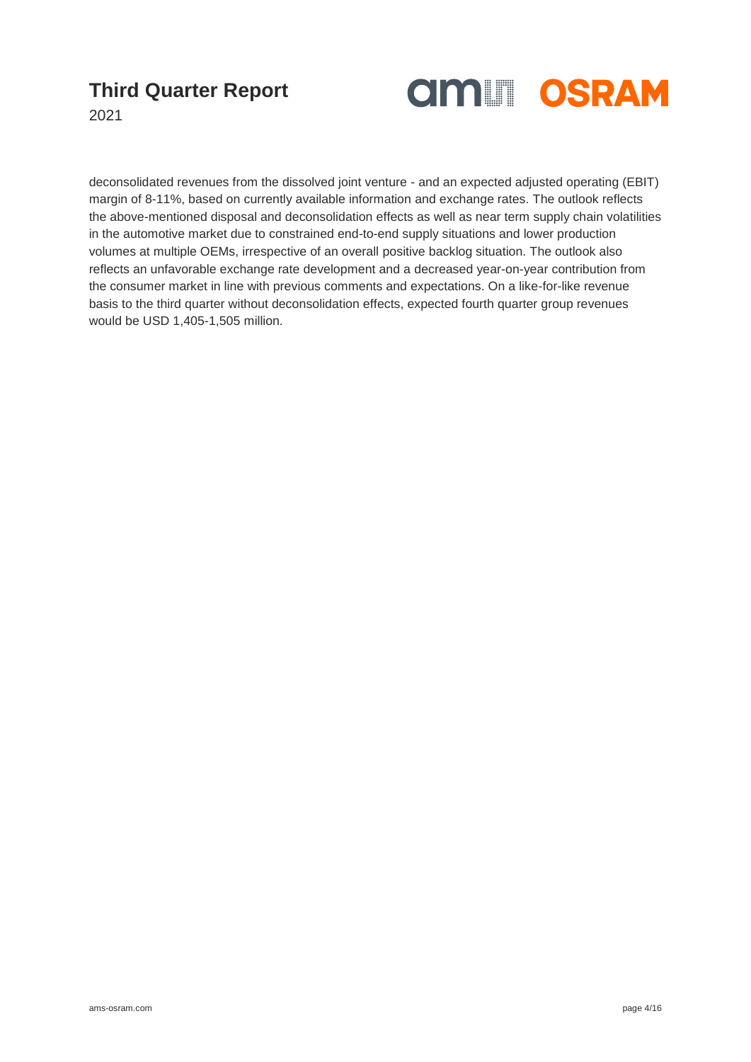

2021

deconsolidated revenues from the dissolved joint venture - and an expected adjusted operating (EBIT) margin of 8-11%, based on currently available information and exchange rates. The outlook reflects the above-mentioned disposal and deconsolidation effects as well as near term supply chain volatilities in the automotive market due to constrained end-to-end supply situations and lower production volumes at multiple OEMs, irrespective of an overall positive backlog situation. The outlook also reflects an unfavorable exchange rate development and a decreased year-on-year contribution from the consumer market in line with previous comments and expectations. On a like-for-like revenue basis to the third quarter without deconsolidation effects, expected fourth quarter group revenues would be USD 1,405-1,505 million.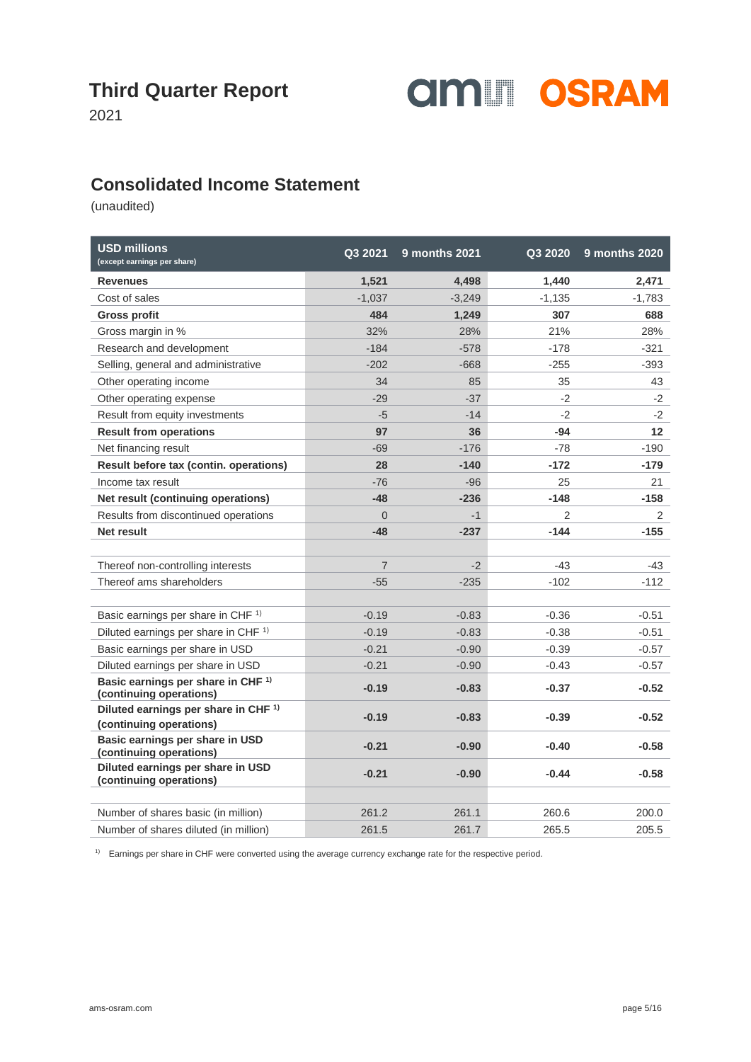

2021

#### **Consolidated Income Statement**

(unaudited)

| <b>USD millions</b><br>(except earnings per share)                         | Q3 2021        | <b>9 months 2021</b> | Q3 2020        | 9 months 2020 |
|----------------------------------------------------------------------------|----------------|----------------------|----------------|---------------|
| <b>Revenues</b>                                                            | 1,521          | 4,498                | 1,440          | 2,471         |
| Cost of sales                                                              | $-1,037$       | $-3,249$             | $-1,135$       | $-1,783$      |
| <b>Gross profit</b>                                                        | 484            | 1,249                | 307            | 688           |
| Gross margin in %                                                          | 32%            | 28%                  | 21%            | 28%           |
| Research and development                                                   | $-184$         | $-578$               | $-178$         | $-321$        |
| Selling, general and administrative                                        | $-202$         | $-668$               | $-255$         | $-393$        |
| Other operating income                                                     | 34             | 85                   | 35             | 43            |
| Other operating expense                                                    | $-29$          | $-37$                | $-2$           | $-2$          |
| Result from equity investments                                             | $-5$           | $-14$                | $-2$           | $-2$          |
| <b>Result from operations</b>                                              | 97             | 36                   | $-94$          | $12 \,$       |
| Net financing result                                                       | $-69$          | $-176$               | $-78$          | $-190$        |
| Result before tax (contin. operations)                                     | 28             | $-140$               | $-172$         | $-179$        |
| Income tax result                                                          | $-76$          | $-96$                | 25             | 21            |
| Net result (continuing operations)                                         | $-48$          | $-236$               | $-148$         | $-158$        |
| Results from discontinued operations                                       | $\overline{0}$ | $-1$                 | $\overline{2}$ | 2             |
| Net result                                                                 | $-48$          | $-237$               | $-144$         | -155          |
|                                                                            |                |                      |                |               |
| Thereof non-controlling interests                                          | $\overline{7}$ | $-2$                 | $-43$          | -43           |
| Thereof ams shareholders                                                   | $-55$          | $-235$               | $-102$         | -112          |
|                                                                            |                |                      |                |               |
| Basic earnings per share in CHF <sup>1)</sup>                              | $-0.19$        | $-0.83$              | $-0.36$        | $-0.51$       |
| Diluted earnings per share in CHF <sup>1)</sup>                            | $-0.19$        | $-0.83$              | $-0.38$        | $-0.51$       |
| Basic earnings per share in USD                                            | $-0.21$        | $-0.90$              | $-0.39$        | $-0.57$       |
| Diluted earnings per share in USD                                          | $-0.21$        | $-0.90$              | $-0.43$        | $-0.57$       |
| Basic earnings per share in CHF <sup>1)</sup><br>(continuing operations)   | $-0.19$        | $-0.83$              | $-0.37$        | $-0.52$       |
| Diluted earnings per share in CHF <sup>1)</sup><br>(continuing operations) | $-0.19$        | $-0.83$              | $-0.39$        | $-0.52$       |
| Basic earnings per share in USD<br>(continuing operations)                 | $-0.21$        | $-0.90$              | $-0.40$        | $-0.58$       |
| Diluted earnings per share in USD<br>(continuing operations)               | $-0.21$        | $-0.90$              | $-0.44$        | $-0.58$       |
|                                                                            |                |                      |                |               |
| Number of shares basic (in million)                                        | 261.2          | 261.1                | 260.6          | 200.0         |
| Number of shares diluted (in million)                                      | 261.5          | 261.7                | 265.5          | 205.5         |

<sup>1)</sup> Earnings per share in CHF were converted using the average currency exchange rate for the respective period.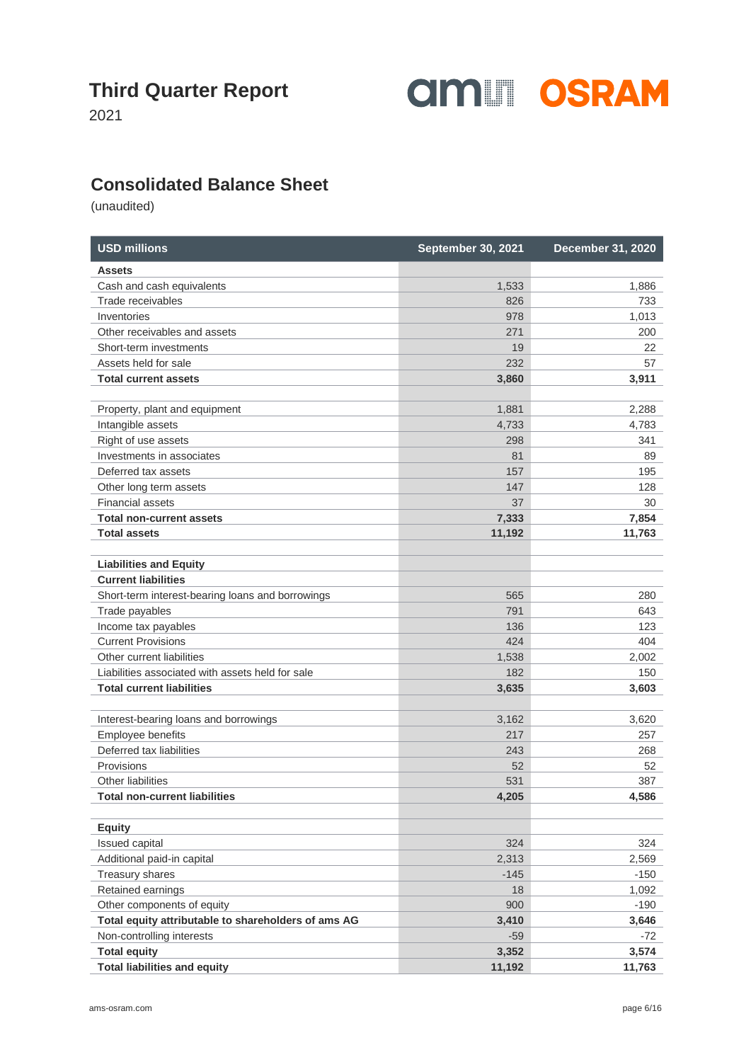

2021

#### **Consolidated Balance Sheet**

| <b>USD millions</b>                                 | <b>September 30, 2021</b> | December 31, 2020 |
|-----------------------------------------------------|---------------------------|-------------------|
| <b>Assets</b>                                       |                           |                   |
| Cash and cash equivalents                           | 1,533                     | 1,886             |
| Trade receivables                                   | 826                       | 733               |
| Inventories                                         | 978                       | 1,013             |
| Other receivables and assets                        | 271                       | 200               |
| Short-term investments                              | 19                        | 22                |
| Assets held for sale                                | 232                       | 57                |
| <b>Total current assets</b>                         | 3,860                     | 3,911             |
| Property, plant and equipment                       | 1,881                     | 2,288             |
| Intangible assets                                   | 4,733                     | 4,783             |
| Right of use assets                                 | 298                       | 341               |
| Investments in associates                           | 81                        | 89                |
| Deferred tax assets                                 | 157                       | 195               |
| Other long term assets                              | 147                       | 128               |
| <b>Financial assets</b>                             | 37                        | 30                |
| <b>Total non-current assets</b>                     | 7,333                     | 7,854             |
| <b>Total assets</b>                                 | 11,192                    | 11,763            |
| <b>Liabilities and Equity</b>                       |                           |                   |
| <b>Current liabilities</b>                          |                           |                   |
| Short-term interest-bearing loans and borrowings    | 565                       | 280               |
| Trade payables                                      | 791                       | 643               |
| Income tax payables                                 | 136                       | 123               |
| <b>Current Provisions</b>                           | 424                       | 404               |
| Other current liabilities                           | 1,538                     | 2,002             |
| Liabilities associated with assets held for sale    | 182                       | 150               |
| <b>Total current liabilities</b>                    | 3,635                     | 3,603             |
| Interest-bearing loans and borrowings               | 3,162                     | 3,620             |
| Employee benefits                                   | 217                       | 257               |
| Deferred tax liabilities                            | 243                       | 268               |
| Provisions                                          | 52                        | 52                |
| Other liabilities                                   | 531                       | 387               |
| <b>Total non-current liabilities</b>                | 4,205                     | 4,586             |
| <b>Equity</b>                                       |                           |                   |
| Issued capital                                      | 324                       | 324               |
| Additional paid-in capital                          | 2,313                     | 2,569             |
| Treasury shares                                     | $-145$                    | $-150$            |
| Retained earnings                                   | 18                        | 1,092             |
| Other components of equity                          | 900                       | $-190$            |
| Total equity attributable to shareholders of ams AG | 3,410                     | 3,646             |
| Non-controlling interests                           | $-59$                     | $-72$             |
| <b>Total equity</b>                                 | 3,352                     | 3,574             |
| <b>Total liabilities and equity</b>                 | 11,192                    | 11,763            |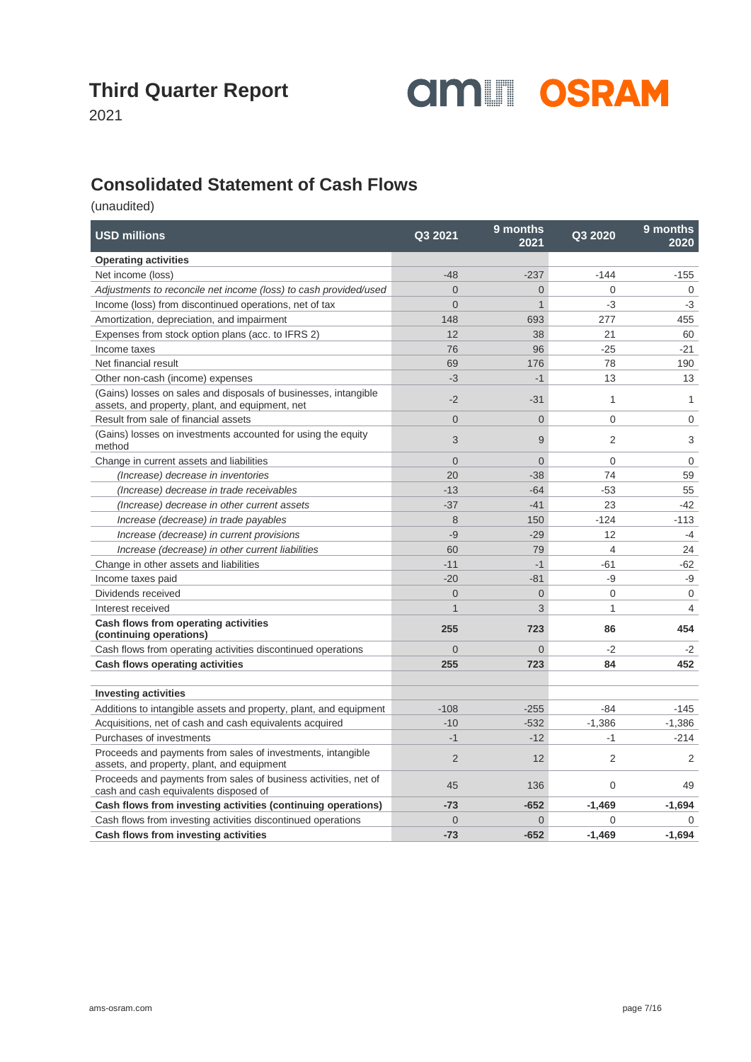

2021

#### **Consolidated Statement of Cash Flows**

| <b>USD millions</b>                                                                                                | Q3 2021        | 9 months<br>2021 | Q3 2020                  | 9 months<br>2020 |
|--------------------------------------------------------------------------------------------------------------------|----------------|------------------|--------------------------|------------------|
| <b>Operating activities</b>                                                                                        |                |                  |                          |                  |
| Net income (loss)                                                                                                  | $-48$          | $-237$           | $-144$                   | $-155$           |
| Adjustments to reconcile net income (loss) to cash provided/used                                                   | $\Omega$       | $\overline{0}$   | $\Omega$                 | $\mathbf 0$      |
| Income (loss) from discontinued operations, net of tax                                                             | $\Omega$       | $\mathbf{1}$     | $-3$                     | $-3$             |
| Amortization, depreciation, and impairment                                                                         | 148            | 693              | 277                      | 455              |
| Expenses from stock option plans (acc. to IFRS 2)                                                                  | 12             | 38               | 21                       | 60               |
| Income taxes                                                                                                       | 76             | 96               | $-25$                    | $-21$            |
| Net financial result                                                                                               | 69             | 176              | 78                       | 190              |
| Other non-cash (income) expenses                                                                                   | $-3$           | $-1$             | 13                       | 13               |
| (Gains) losses on sales and disposals of businesses, intangible<br>assets, and property, plant, and equipment, net | $-2$           | $-31$            | $\mathbf{1}$             | $\mathbf{1}$     |
| Result from sale of financial assets                                                                               | $\overline{0}$ | $\overline{0}$   | $\mathbf 0$              | 0                |
| (Gains) losses on investments accounted for using the equity<br>method                                             | 3              | 9                | $\overline{2}$           | 3                |
| Change in current assets and liabilities                                                                           | $\overline{0}$ | $\overline{0}$   | $\overline{0}$           | $\mathbf 0$      |
| (Increase) decrease in inventories                                                                                 | 20             | $-38$            | 74                       | 59               |
| (Increase) decrease in trade receivables                                                                           | $-13$          | $-64$            | $-53$                    | 55               |
| (Increase) decrease in other current assets                                                                        | $-37$          | $-41$            | 23                       | $-42$            |
| Increase (decrease) in trade payables                                                                              | 8              | 150              | $-124$                   | $-113$           |
| Increase (decrease) in current provisions                                                                          | $-9$           | $-29$            | 12                       | $-4$             |
| Increase (decrease) in other current liabilities                                                                   | 60             | 79               | $\overline{\mathcal{L}}$ | 24               |
| Change in other assets and liabilities                                                                             | $-11$          | $-1$             | $-61$                    | $-62$            |
| Income taxes paid                                                                                                  | $-20$          | $-81$            | -9                       | -9               |
| Dividends received                                                                                                 | $\Omega$       | $\overline{0}$   | $\Omega$                 | $\mathbf{0}$     |
| Interest received                                                                                                  | $\mathbf{1}$   | 3                | $\mathbf{1}$             | $\overline{4}$   |
| Cash flows from operating activities<br>(continuing operations)                                                    | 255            | 723              | 86                       | 454              |
| Cash flows from operating activities discontinued operations                                                       | $\Omega$       | $\Omega$         | $-2$                     | $-2$             |
| <b>Cash flows operating activities</b>                                                                             | 255            | 723              | 84                       | 452              |
|                                                                                                                    |                |                  |                          |                  |
| <b>Investing activities</b>                                                                                        |                |                  |                          |                  |
| Additions to intangible assets and property, plant, and equipment                                                  | $-108$         | $-255$           | $-84$                    | $-145$           |
| Acquisitions, net of cash and cash equivalents acquired                                                            | $-10$          | $-532$           | $-1,386$                 | $-1,386$         |
| Purchases of investments                                                                                           | $-1$           | $-12$            | $-1$                     | $-214$           |
| Proceeds and payments from sales of investments, intangible<br>assets, and property, plant, and equipment          | $\overline{2}$ | 12               | 2                        | 2                |
| Proceeds and payments from sales of business activities, net of<br>cash and cash equivalents disposed of           | 45             | 136              | $\mathbf 0$              | 49               |
| Cash flows from investing activities (continuing operations)                                                       | $-73$          | $-652$           | $-1,469$                 | $-1,694$         |
| Cash flows from investing activities discontinued operations                                                       | $\mathbf 0$    | $\overline{0}$   | $\overline{0}$           | 0                |
| Cash flows from investing activities                                                                               | $-73$          | $-652$           | $-1.469$                 | $-1,694$         |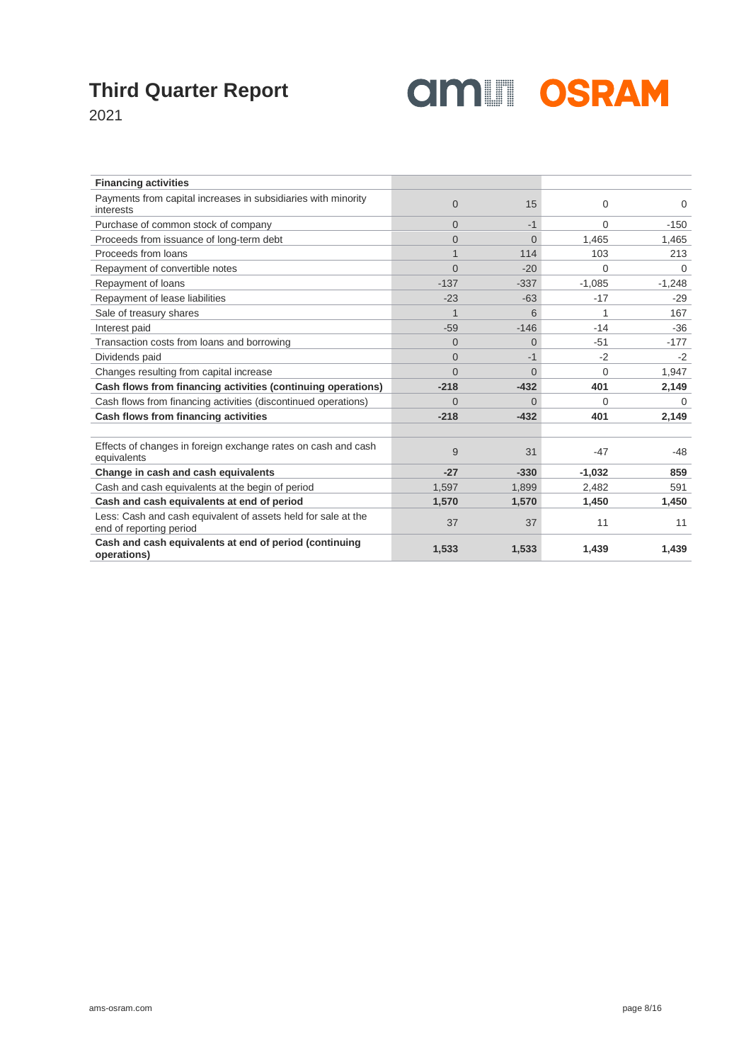

2021

| <b>Financing activities</b>                                                              |          |          |          |          |
|------------------------------------------------------------------------------------------|----------|----------|----------|----------|
| Payments from capital increases in subsidiaries with minority<br>interests               | $\Omega$ | 15       | $\Omega$ | 0        |
| Purchase of common stock of company                                                      | $\Omega$ | $-1$     | $\Omega$ | $-150$   |
| Proceeds from issuance of long-term debt                                                 | $\Omega$ | $\Omega$ | 1,465    | 1,465    |
| Proceeds from loans                                                                      | 1        | 114      | 103      | 213      |
| Repayment of convertible notes                                                           | $\Omega$ | $-20$    | $\Omega$ | $\Omega$ |
| Repayment of loans                                                                       | $-137$   | $-337$   | $-1.085$ | $-1,248$ |
| Repayment of lease liabilities                                                           | $-23$    | $-63$    | $-17$    | $-29$    |
| Sale of treasury shares                                                                  | 1        | 6        |          | 167      |
| Interest paid                                                                            | $-59$    | $-146$   | $-14$    | $-36$    |
| Transaction costs from loans and borrowing                                               | $\Omega$ | $\Omega$ | $-51$    | $-177$   |
| Dividends paid                                                                           | $\Omega$ | $-1$     | $-2$     | $-2$     |
| Changes resulting from capital increase                                                  | $\Omega$ | $\Omega$ | $\Omega$ | 1,947    |
| Cash flows from financing activities (continuing operations)                             | $-218$   | $-432$   | 401      | 2,149    |
| Cash flows from financing activities (discontinued operations)                           | $\Omega$ | $\Omega$ | $\Omega$ | $\Omega$ |
| Cash flows from financing activities                                                     | $-218$   | $-432$   | 401      | 2,149    |
|                                                                                          |          |          |          |          |
| Effects of changes in foreign exchange rates on cash and cash<br>equivalents             | 9        | 31       | $-47$    | -48      |
| Change in cash and cash equivalents                                                      | $-27$    | $-330$   | $-1,032$ | 859      |
| Cash and cash equivalents at the begin of period                                         | 1,597    | 1,899    | 2,482    | 591      |
| Cash and cash equivalents at end of period                                               | 1,570    | 1,570    | 1,450    | 1,450    |
| Less: Cash and cash equivalent of assets held for sale at the<br>end of reporting period | 37       | 37       | 11       | 11       |
| Cash and cash equivalents at end of period (continuing<br>operations)                    | 1,533    | 1,533    | 1,439    | 1,439    |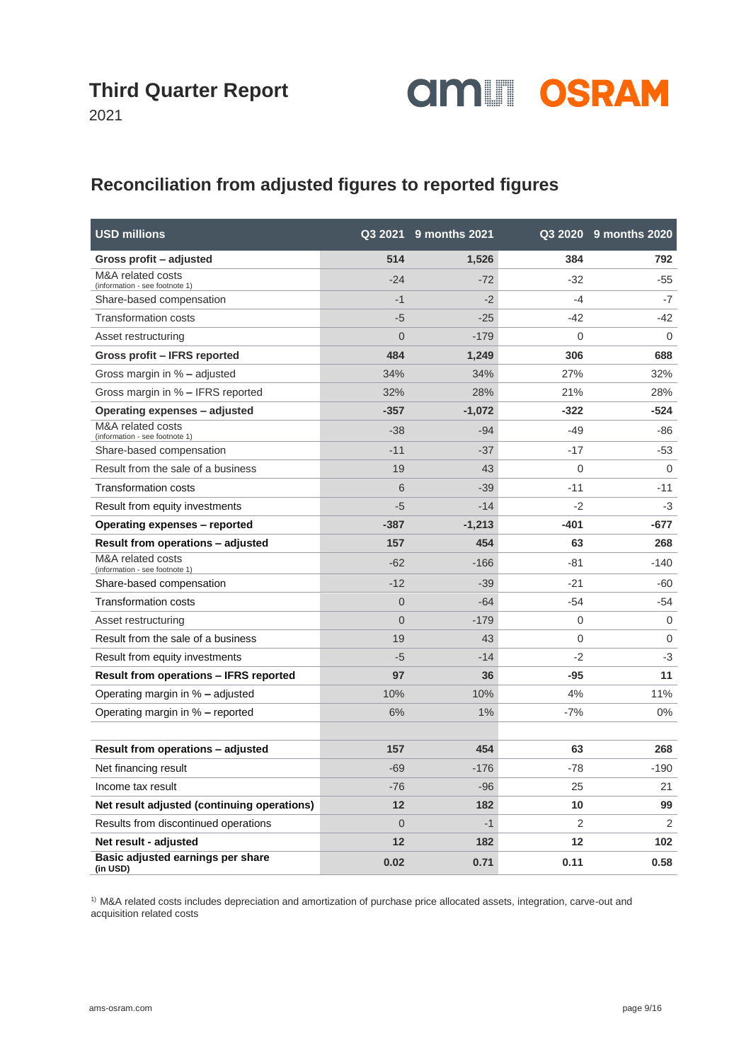

2021

#### **Reconciliation from adjusted figures to reported figures**

| <b>USD millions</b>                                 |                | Q3 2021 9 months 2021 |          | Q3 2020 9 months 2020 |
|-----------------------------------------------------|----------------|-----------------------|----------|-----------------------|
| Gross profit – adjusted                             | 514            | 1,526                 | 384      | 792                   |
| M&A related costs<br>(information - see footnote 1) | $-24$          | $-72$                 | $-32$    | $-55$                 |
| Share-based compensation                            | $-1$           | $-2$                  | -4       | $-7$                  |
| <b>Transformation costs</b>                         | $-5$           | $-25$                 | $-42$    | -42                   |
| Asset restructuring                                 | $\overline{0}$ | $-179$                | $\Omega$ | $\mathbf 0$           |
| Gross profit – IFRS reported                        | 484            | 1,249                 | 306      | 688                   |
| Gross margin in % - adjusted                        | 34%            | 34%                   | 27%      | 32%                   |
| Gross margin in % - IFRS reported                   | 32%            | 28%                   | 21%      | 28%                   |
| Operating expenses - adjusted                       | $-357$         | $-1,072$              | $-322$   | $-524$                |
| M&A related costs<br>(information - see footnote 1) | $-38$          | $-94$                 | -49      | -86                   |
| Share-based compensation                            | $-11$          | $-37$                 | $-17$    | $-53$                 |
| Result from the sale of a business                  | 19             | 43                    | 0        | $\Omega$              |
| <b>Transformation costs</b>                         | 6              | $-39$                 | $-11$    | $-11$                 |
| Result from equity investments                      | $-5$           | $-14$                 | $-2$     | $-3$                  |
| Operating expenses – reported                       | $-387$         | $-1,213$              | $-401$   | $-677$                |
| Result from operations - adjusted                   | 157            | 454                   | 63       | 268                   |
| M&A related costs<br>(information - see footnote 1) | $-62$          | $-166$                | $-81$    | $-140$                |
| Share-based compensation                            | $-12$          | $-39$                 | $-21$    | -60                   |
| Transformation costs                                | $\overline{0}$ | $-64$                 | $-54$    | -54                   |
| Asset restructuring                                 | $\overline{0}$ | $-179$                | 0        | $\mathbf 0$           |
| Result from the sale of a business                  | 19             | 43                    | 0        | $\mathbf 0$           |
| Result from equity investments                      | $-5$           | $-14$                 | $-2$     | $-3$                  |
| <b>Result from operations – IFRS reported</b>       | 97             | 36                    | $-95$    | 11                    |
| Operating margin in % - adjusted                    | 10%            | 10%                   | 4%       | 11%                   |
| Operating margin in % - reported                    | 6%             | 1%                    | $-7%$    | $0\%$                 |
|                                                     |                |                       |          |                       |
| Result from operations - adjusted                   | 157            | 454                   | 63       | 268                   |
| Net financing result                                | $-69$          | $-176$                | -78      | $-190$                |
| Income tax result                                   | $-76$          | $-96$                 | 25       | 21                    |
| Net result adjusted (continuing operations)         | 12             | 182                   | 10       | 99                    |
| Results from discontinued operations                | $\overline{0}$ | $-1$                  | 2        | 2                     |
| Net result - adjusted                               | 12             | 182                   | 12       | 102                   |
| Basic adjusted earnings per share<br>(in USD)       | 0.02           | 0.71                  | 0.11     | 0.58                  |

<sup>1)</sup> M&A related costs includes depreciation and amortization of purchase price allocated assets, integration, carve-out and acquisition related costs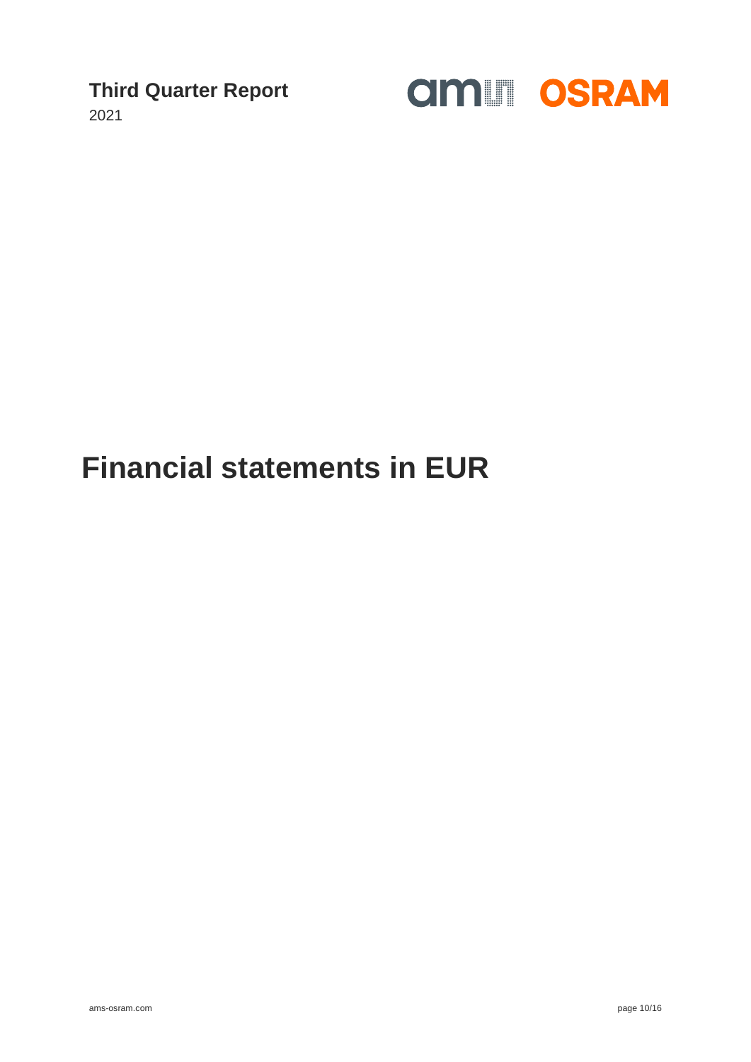2021



## **Financial statements in EUR**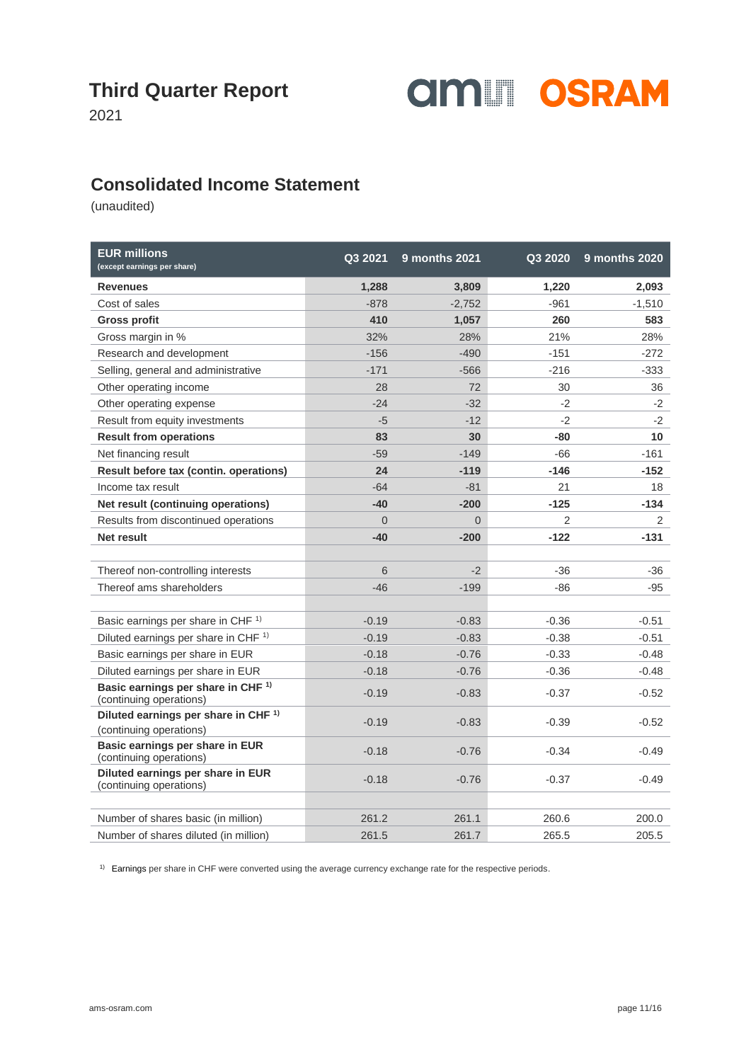

2021

#### **Consolidated Income Statement**

(unaudited)

| <b>EUR millions</b><br>(except earnings per share)                         | Q3 2021  | <b>9 months 2021</b> | Q3 2020 | <b>9 months 2020</b> |
|----------------------------------------------------------------------------|----------|----------------------|---------|----------------------|
| <b>Revenues</b>                                                            | 1,288    | 3,809                | 1,220   | 2,093                |
| Cost of sales                                                              | $-878$   | $-2,752$             | $-961$  | $-1,510$             |
| <b>Gross profit</b>                                                        | 410      | 1,057                | 260     | 583                  |
| Gross margin in %                                                          | 32%      | 28%                  | 21%     | 28%                  |
| Research and development                                                   | $-156$   | $-490$               | $-151$  | -272                 |
| Selling, general and administrative                                        | $-171$   | $-566$               | $-216$  | -333                 |
| Other operating income                                                     | 28       | 72                   | 30      | 36                   |
| Other operating expense                                                    | $-24$    | $-32$                | $-2$    | $-2$                 |
| Result from equity investments                                             | $-5$     | $-12$                | $-2$    | $-2$                 |
| <b>Result from operations</b>                                              | 83       | 30                   | -80     | 10                   |
| Net financing result                                                       | $-59$    | $-149$               | -66     | $-161$               |
| Result before tax (contin. operations)                                     | 24       | $-119$               | $-146$  | $-152$               |
| Income tax result                                                          | $-64$    | $-81$                | 21      | 18                   |
| Net result (continuing operations)                                         | $-40$    | $-200$               | $-125$  | -134                 |
| Results from discontinued operations                                       | $\Omega$ | $\Omega$             | 2       | 2                    |
| Net result                                                                 | $-40$    | $-200$               | $-122$  | -131                 |
|                                                                            |          |                      |         |                      |
| Thereof non-controlling interests                                          | 6        | $-2$                 | $-36$   | -36                  |
| Thereof ams shareholders                                                   | $-46$    | $-199$               | -86     | -95                  |
|                                                                            |          |                      |         |                      |
| Basic earnings per share in CHF <sup>1)</sup>                              | $-0.19$  | $-0.83$              | $-0.36$ | $-0.51$              |
| Diluted earnings per share in CHF <sup>1)</sup>                            | $-0.19$  | $-0.83$              | $-0.38$ | $-0.51$              |
| Basic earnings per share in EUR                                            | $-0.18$  | $-0.76$              | $-0.33$ | $-0.48$              |
| Diluted earnings per share in EUR                                          | $-0.18$  | $-0.76$              | $-0.36$ | $-0.48$              |
| Basic earnings per share in CHF <sup>1)</sup><br>(continuing operations)   | $-0.19$  | $-0.83$              | $-0.37$ | $-0.52$              |
| Diluted earnings per share in CHF <sup>1)</sup><br>(continuing operations) | $-0.19$  | $-0.83$              | $-0.39$ | $-0.52$              |
| Basic earnings per share in EUR<br>(continuing operations)                 | $-0.18$  | $-0.76$              | $-0.34$ | $-0.49$              |
| Diluted earnings per share in EUR<br>(continuing operations)               | $-0.18$  | $-0.76$              | $-0.37$ | $-0.49$              |
|                                                                            |          |                      |         |                      |
| Number of shares basic (in million)                                        | 261.2    | 261.1                | 260.6   | 200.0                |
| Number of shares diluted (in million)                                      | 261.5    | 261.7                | 265.5   | 205.5                |

<sup>1)</sup> Earnings per share in CHF were converted using the average currency exchange rate for the respective periods.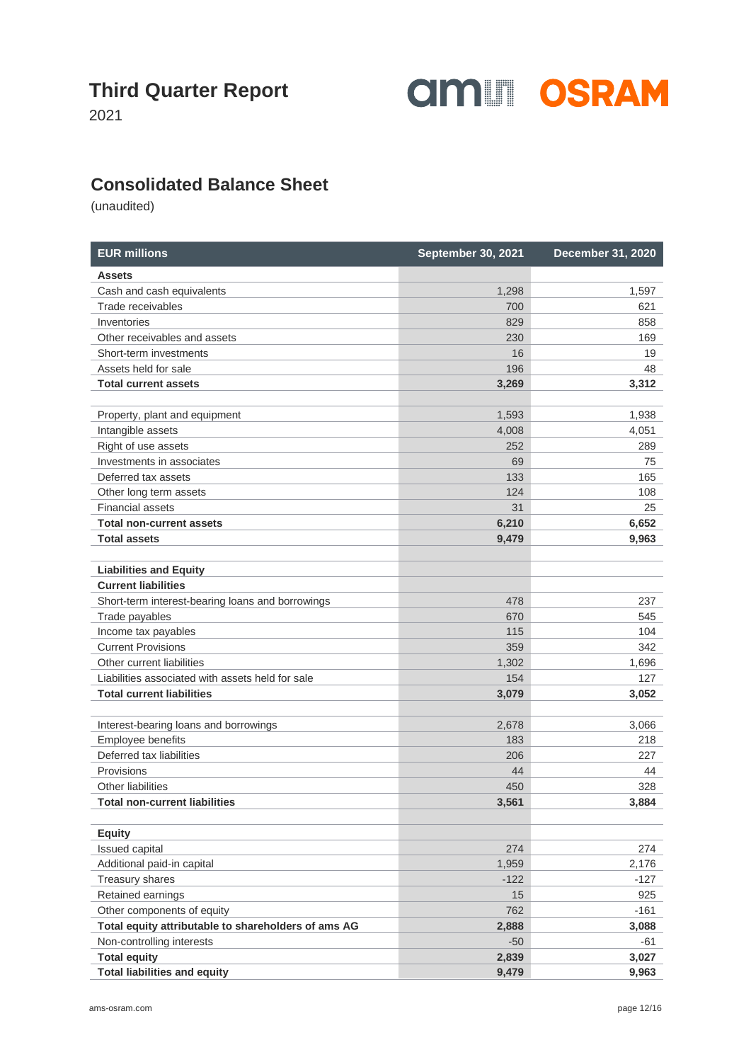

2021

#### **Consolidated Balance Sheet**

| <b>EUR millions</b>                                        | <b>September 30, 2021</b> | <b>December 31, 2020</b> |
|------------------------------------------------------------|---------------------------|--------------------------|
| <b>Assets</b>                                              |                           |                          |
| Cash and cash equivalents                                  | 1,298                     | 1,597                    |
| Trade receivables                                          | 700                       | 621                      |
| Inventories                                                | 829                       | 858                      |
| Other receivables and assets                               | 230                       | 169                      |
| Short-term investments                                     | 16                        | 19                       |
| Assets held for sale                                       | 196                       | 48                       |
| <b>Total current assets</b>                                | 3,269                     | 3,312                    |
|                                                            |                           |                          |
| Property, plant and equipment                              | 1,593                     | 1,938                    |
| Intangible assets                                          | 4,008                     | 4,051                    |
| Right of use assets                                        | 252                       | 289                      |
| Investments in associates                                  | 69                        | 75                       |
| Deferred tax assets                                        | 133                       | 165                      |
| Other long term assets                                     | 124                       | 108                      |
| <b>Financial assets</b>                                    | 31                        | 25                       |
| <b>Total non-current assets</b>                            | 6,210                     | 6,652                    |
| <b>Total assets</b>                                        | 9,479                     | 9,963                    |
| <b>Liabilities and Equity</b>                              |                           |                          |
| <b>Current liabilities</b>                                 |                           |                          |
| Short-term interest-bearing loans and borrowings           | 478                       | 237                      |
| Trade payables                                             | 670                       | 545                      |
| Income tax payables                                        | 115                       | 104                      |
| <b>Current Provisions</b>                                  | 359                       | 342                      |
| Other current liabilities                                  | 1,302                     | 1,696                    |
| Liabilities associated with assets held for sale           | 154                       | 127                      |
| <b>Total current liabilities</b>                           | 3,079                     | 3,052                    |
|                                                            |                           |                          |
| Interest-bearing loans and borrowings<br>Employee benefits | 2,678<br>183              | 3,066                    |
| Deferred tax liabilities                                   | 206                       | 218<br>227               |
| Provisions                                                 | 44                        | 44                       |
| Other liabilities                                          | 450                       | 328                      |
| <b>Total non-current liabilities</b>                       | 3,561                     | 3,884                    |
|                                                            |                           |                          |
| <b>Equity</b>                                              |                           |                          |
| Issued capital                                             | 274                       | 274                      |
| Additional paid-in capital                                 | 1,959                     | 2,176                    |
| Treasury shares                                            | $-122$                    | $-127$                   |
| Retained earnings                                          | 15                        | 925                      |
| Other components of equity                                 | 762                       | $-161$                   |
| Total equity attributable to shareholders of ams AG        | 2,888                     | 3,088                    |
| Non-controlling interests                                  | $-50$                     | -61                      |
| <b>Total equity</b>                                        | 2,839                     | 3,027                    |
| <b>Total liabilities and equity</b>                        | 9,479                     | 9,963                    |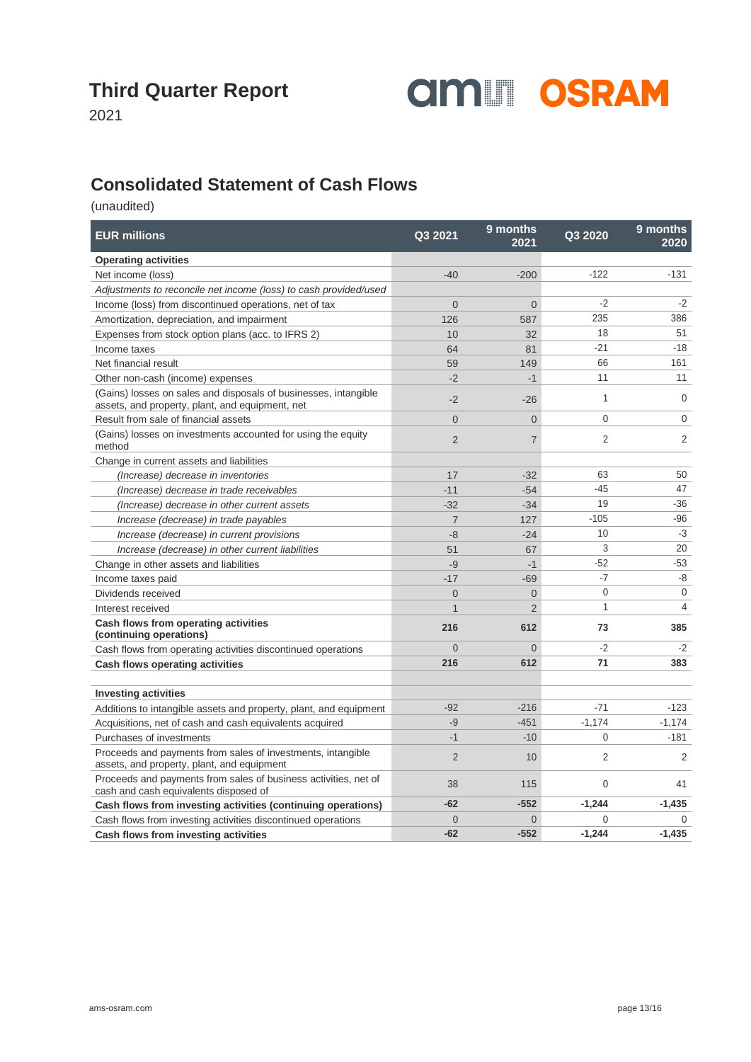

2021

#### **Consolidated Statement of Cash Flows**

| <b>EUR millions</b>                                                                                                | Q3 2021        | 9 months<br>2021 | Q3 2020      | 9 months<br>2020 |
|--------------------------------------------------------------------------------------------------------------------|----------------|------------------|--------------|------------------|
| <b>Operating activities</b>                                                                                        |                |                  |              |                  |
| Net income (loss)                                                                                                  | $-40$          | $-200$           | $-122$       | $-131$           |
| Adjustments to reconcile net income (loss) to cash provided/used                                                   |                |                  |              |                  |
| Income (loss) from discontinued operations, net of tax                                                             | $\Omega$       | $\Omega$         | $-2$         | $-2$             |
| Amortization, depreciation, and impairment                                                                         | 126            | 587              | 235          | 386              |
| Expenses from stock option plans (acc. to IFRS 2)                                                                  | 10             | 32               | 18           | 51               |
| Income taxes                                                                                                       | 64             | 81               | $-21$        | $-18$            |
| Net financial result                                                                                               | 59             | 149              | 66           | 161              |
| Other non-cash (income) expenses                                                                                   | $-2$           | $-1$             | 11           | 11               |
| (Gains) losses on sales and disposals of businesses, intangible<br>assets, and property, plant, and equipment, net | $-2$           | $-26$            | $\mathbf{1}$ | $\mathbf 0$      |
| Result from sale of financial assets                                                                               | $\Omega$       | $\overline{0}$   | 0            | $\mathbf 0$      |
| (Gains) losses on investments accounted for using the equity<br>method                                             | 2              | $\overline{7}$   | 2            | $\overline{2}$   |
| Change in current assets and liabilities                                                                           |                |                  |              |                  |
| (Increase) decrease in inventories                                                                                 | 17             | $-32$            | 63           | 50               |
| (Increase) decrease in trade receivables                                                                           | $-11$          | $-54$            | $-45$        | 47               |
| (Increase) decrease in other current assets                                                                        | $-32$          | $-34$            | 19           | $-36$            |
| Increase (decrease) in trade payables                                                                              | $\overline{7}$ | 127              | $-105$       | $-96$            |
| Increase (decrease) in current provisions                                                                          | $-8$           | $-24$            | 10           | $-3$             |
| Increase (decrease) in other current liabilities                                                                   | 51             | 67               | 3            | 20               |
| Change in other assets and liabilities                                                                             | $-9$           | $-1$             | $-52$        | $-53$            |
| Income taxes paid                                                                                                  | $-17$          | $-69$            | $-7$         | -8               |
| Dividends received                                                                                                 | $\overline{0}$ | $\overline{0}$   | $\mathbf{0}$ | 0                |
| Interest received                                                                                                  | $\mathbf{1}$   | $\overline{2}$   | 1            | 4                |
| Cash flows from operating activities<br>(continuing operations)                                                    | 216            | 612              | 73           | 385              |
| Cash flows from operating activities discontinued operations                                                       | $\Omega$       | $\Omega$         | $-2$         | $-2$             |
| <b>Cash flows operating activities</b>                                                                             | 216            | 612              | 71           | 383              |
|                                                                                                                    |                |                  |              |                  |
| <b>Investing activities</b>                                                                                        |                |                  |              |                  |
| Additions to intangible assets and property, plant, and equipment                                                  | $-92$          | $-216$           | $-71$        | $-123$           |
| Acquisitions, net of cash and cash equivalents acquired                                                            | $-9$           | $-451$           | $-1,174$     | $-1,174$         |
| Purchases of investments                                                                                           | $-1$           | $-10$            | 0            | $-181$           |
| Proceeds and payments from sales of investments, intangible<br>assets, and property, plant, and equipment          | $\overline{2}$ | 10               | 2            | 2                |
| Proceeds and payments from sales of business activities, net of<br>cash and cash equivalents disposed of           | 38             | 115              | 0            | 41               |
| Cash flows from investing activities (continuing operations)                                                       | $-62$          | $-552$           | $-1.244$     | $-1,435$         |
| Cash flows from investing activities discontinued operations                                                       | $\overline{0}$ | $\overline{0}$   | 0            | $\Omega$         |
| Cash flows from investing activities                                                                               | $-62$          | $-552$           | $-1,244$     | $-1,435$         |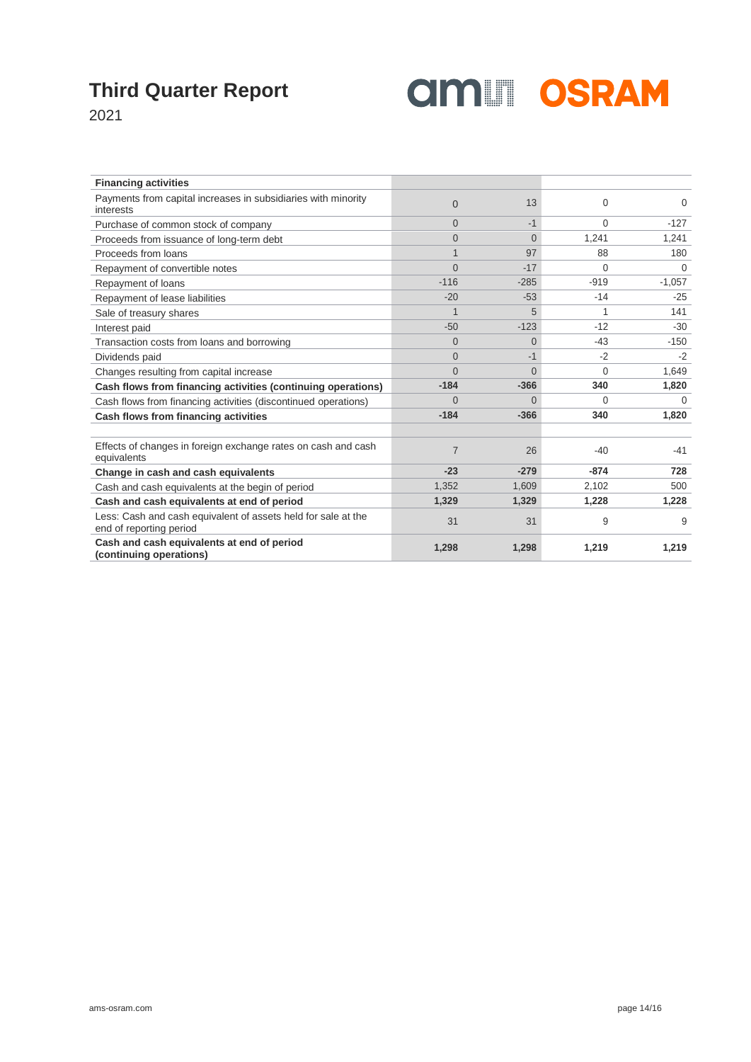

2021

| <b>Financing activities</b>                                                              |                |          |          |          |
|------------------------------------------------------------------------------------------|----------------|----------|----------|----------|
| Payments from capital increases in subsidiaries with minority<br>interests               | $\Omega$       | 13       | $\Omega$ | $\Omega$ |
| Purchase of common stock of company                                                      | $\Omega$       | $-1$     | $\Omega$ | $-127$   |
| Proceeds from issuance of long-term debt                                                 | $\Omega$       | $\Omega$ | 1,241    | 1,241    |
| Proceeds from loans                                                                      | $\overline{1}$ | 97       | 88       | 180      |
| Repayment of convertible notes                                                           | $\Omega$       | $-17$    | $\Omega$ | $\Omega$ |
| Repayment of loans                                                                       | $-116$         | $-285$   | $-919$   | $-1,057$ |
| Repayment of lease liabilities                                                           | $-20$          | $-53$    | $-14$    | $-25$    |
| Sale of treasury shares                                                                  | 1              | 5        | 1        | 141      |
| Interest paid                                                                            | $-50$          | $-123$   | $-12$    | $-30$    |
| Transaction costs from loans and borrowing                                               | $\Omega$       | $\Omega$ | $-43$    | $-150$   |
| Dividends paid                                                                           | $\Omega$       | $-1$     | $-2$     | $-2$     |
| Changes resulting from capital increase                                                  | $\Omega$       | $\Omega$ | $\Omega$ | 1.649    |
| Cash flows from financing activities (continuing operations)                             | $-184$         | $-366$   | 340      | 1,820    |
| Cash flows from financing activities (discontinued operations)                           | $\Omega$       | $\Omega$ | 0        | $\Omega$ |
| Cash flows from financing activities                                                     | $-184$         | $-366$   | 340      | 1,820    |
|                                                                                          |                |          |          |          |
| Effects of changes in foreign exchange rates on cash and cash<br>equivalents             | $\overline{7}$ | 26       | $-40$    | $-41$    |
| Change in cash and cash equivalents                                                      | $-23$          | $-279$   | $-874$   | 728      |
| Cash and cash equivalents at the begin of period                                         | 1,352          | 1,609    | 2,102    | 500      |
| Cash and cash equivalents at end of period                                               | 1,329          | 1,329    | 1,228    | 1,228    |
| Less: Cash and cash equivalent of assets held for sale at the<br>end of reporting period | 31             | 31       | 9        | 9        |
| Cash and cash equivalents at end of period<br>(continuing operations)                    | 1,298          | 1,298    | 1,219    | 1,219    |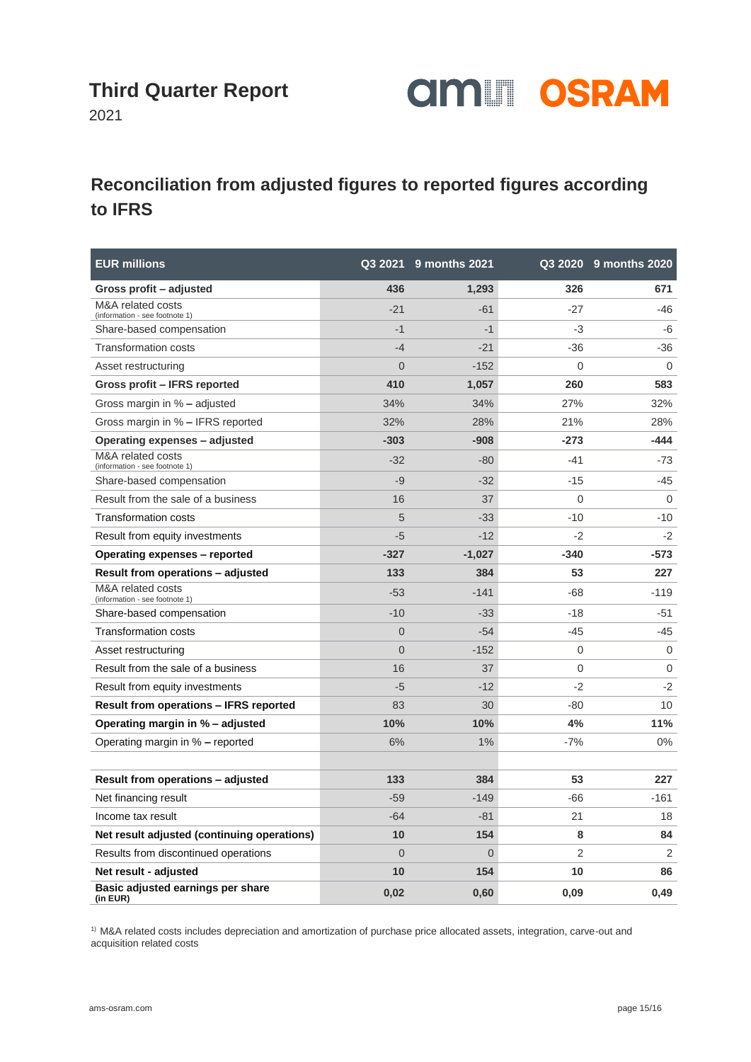

2021

#### **Reconciliation from adjusted figures to reported figures according to IFRS**

| <b>EUR millions</b>                                 |                | Q3 2021 9 months 2021 |        | Q3 2020 9 months 2020 |
|-----------------------------------------------------|----------------|-----------------------|--------|-----------------------|
| Gross profit - adjusted                             | 436            | 1,293                 | 326    | 671                   |
| M&A related costs<br>(information - see footnote 1) | $-21$          | $-61$                 | $-27$  | -46                   |
| Share-based compensation                            | $-1$           | $-1$                  | -3     | -6                    |
| <b>Transformation costs</b>                         | $-4$           | $-21$                 | $-36$  | -36                   |
| Asset restructuring                                 | $\Omega$       | $-152$                | 0      | $\Omega$              |
| Gross profit - IFRS reported                        | 410            | 1,057                 | 260    | 583                   |
| Gross margin in % - adjusted                        | 34%            | 34%                   | 27%    | 32%                   |
| Gross margin in % - IFRS reported                   | 32%            | 28%                   | 21%    | 28%                   |
| Operating expenses – adjusted                       | $-303$         | $-908$                | $-273$ | -444                  |
| M&A related costs<br>(information - see footnote 1) | $-32$          | $-80$                 | $-41$  | $-73$                 |
| Share-based compensation                            | $-9$           | $-32$                 | $-15$  | $-45$                 |
| Result from the sale of a business                  | 16             | 37                    | 0      | $\mathbf 0$           |
| Transformation costs                                | 5              | $-33$                 | $-10$  | $-10$                 |
| Result from equity investments                      | $-5$           | $-12$                 | $-2$   | $-2$                  |
| Operating expenses - reported                       | $-327$         | $-1,027$              | $-340$ | -573                  |
| Result from operations - adjusted                   | 133            | 384                   | 53     | 227                   |
| M&A related costs<br>(information - see footnote 1) | $-53$          | $-141$                | $-68$  | $-119$                |
| Share-based compensation                            | $-10$          | $-33$                 | $-18$  | -51                   |
| <b>Transformation costs</b>                         | $\overline{0}$ | $-54$                 | -45    | -45                   |
| Asset restructuring                                 | $\overline{0}$ | $-152$                | 0      | $\mathbf 0$           |
| Result from the sale of a business                  | 16             | 37                    | 0      | $\mathbf 0$           |
| Result from equity investments                      | $-5$           | $-12$                 | $-2$   | $-2$                  |
| <b>Result from operations - IFRS reported</b>       | 83             | 30                    | $-80$  | 10                    |
| Operating margin in % – adjusted                    | 10%            | 10%                   | 4%     | 11%                   |
| Operating margin in % - reported                    | 6%             | 1%                    | $-7%$  | $0\%$                 |
|                                                     |                |                       |        |                       |
| Result from operations - adjusted                   | 133            | 384                   | 53     | 227                   |
| Net financing result                                | $-59$          | $-149$                | $-66$  | $-161$                |
| Income tax result                                   | $-64$          | $-81$                 | 21     | 18                    |
| Net result adjusted (continuing operations)         | 10             | 154                   | 8      | 84                    |
| Results from discontinued operations                | $\Omega$       | $\overline{0}$        | 2      | 2                     |
| Net result - adjusted                               | 10             | 154                   | 10     | 86                    |
| Basic adjusted earnings per share<br>(in EUR)       | 0,02           | 0,60                  | 0,09   | 0,49                  |

1) M&A related costs includes depreciation and amortization of purchase price allocated assets, integration, carve-out and acquisition related costs